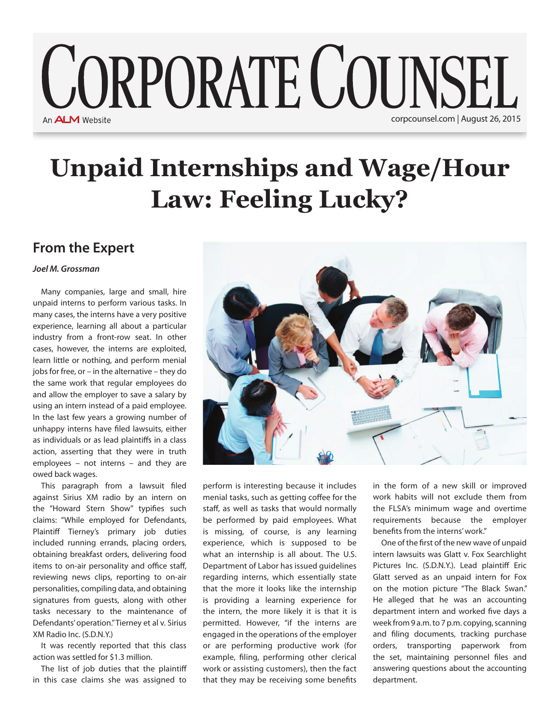## **CORPORATE COUNSEL** An **ALM** Website corpcounsel.com | August 26, 2015

## **Unpaid Internships and Wage/Hour Law: Feeling Lucky?**

## **From the Expert**

## *Joel M. Grossman*

Many companies, large and small, hire unpaid interns to perform various tasks. In many cases, the interns have a very positive experience, learning all about a particular industry from a front-row seat. In other cases, however, the interns are exploited, learn little or nothing, and perform menial jobs for free, or – in the alternative – they do the same work that regular employees do and allow the employer to save a salary by using an intern instead of a paid employee. In the last few years a growing number of unhappy interns have filed lawsuits, either as individuals or as lead plaintiffs in a class action, asserting that they were in truth employees – not interns – and they are owed back wages.

This paragraph from a lawsuit filed against Sirius XM radio by an intern on the "Howard Stern Show" typifies such claims: "While employed for Defendants, Plaintiff Tierney's primary job duties included running errands, placing orders, obtaining breakfast orders, delivering food items to on-air personality and office staff, reviewing news clips, reporting to on-air personalities, compiling data, and obtaining signatures from guests, along with other tasks necessary to the maintenance of Defendants' operation." Tierney et al v. Sirius XM Radio Inc. (S.D.N.Y.)

It was recently reported that this class action was settled for \$1.3 million.

The list of job duties that the plaintiff in this case claims she was assigned to



perform is interesting because it includes menial tasks, such as getting coffee for the staff, as well as tasks that would normally be performed by paid employees. What is missing, of course, is any learning experience, which is supposed to be what an internship is all about. The U.S. Department of Labor has issued guidelines regarding interns, which essentially state that the more it looks like the internship is providing a learning experience for the intern, the more likely it is that it is permitted. However, "if the interns are engaged in the operations of the employer or are performing productive work (for example, filing, performing other clerical work or assisting customers), then the fact that they may be receiving some benefits

in the form of a new skill or improved work habits will not exclude them from the FLSA's minimum wage and overtime requirements because the employer benefits from the interns' work."

One of the first of the new wave of unpaid intern lawsuits was Glatt v. Fox Searchlight Pictures Inc. (S.D.N.Y.). Lead plaintiff Eric Glatt served as an unpaid intern for Fox on the motion picture "The Black Swan." He alleged that he was an accounting department intern and worked five days a week from 9 a.m. to 7 p.m. copying, scanning and filing documents, tracking purchase orders, transporting paperwork from the set, maintaining personnel files and answering questions about the accounting department.